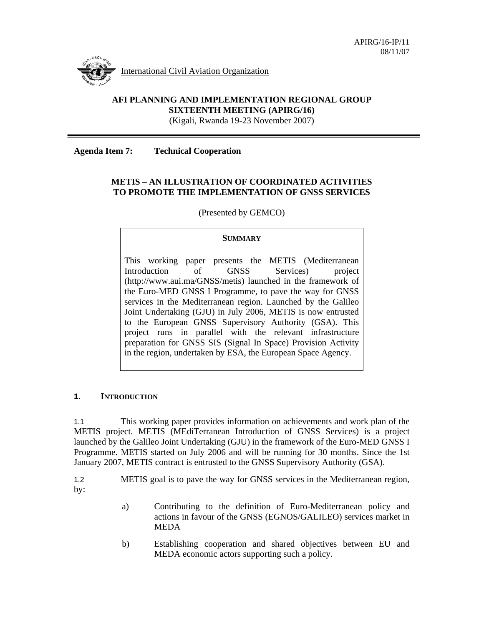

#### **AFI PLANNING AND IMPLEMENTATION REGIONAL GROUP SIXTEENTH MEETING (APIRG/16)**  (Kigali, Rwanda 19-23 November 2007)

**Agenda Item 7: Technical Cooperation** 

#### **METIS – AN ILLUSTRATION OF COORDINATED ACTIVITIES TO PROMOTE THE IMPLEMENTATION OF GNSS SERVICES**

(Presented by GEMCO)

#### **SUMMARY**

This working paper presents the METIS (Mediterranean Introduction of GNSS Services) project (http://www.aui.ma/GNSS/metis) launched in the framework of the Euro-MED GNSS I Programme, to pave the way for GNSS services in the Mediterranean region. Launched by the Galileo Joint Undertaking (GJU) in July 2006, METIS is now entrusted to the European GNSS Supervisory Authority (GSA). This project runs in parallel with the relevant infrastructure preparation for GNSS SIS (Signal In Space) Provision Activity in the region, undertaken by ESA, the European Space Agency.

#### **1. INTRODUCTION**

1.1 This working paper provides information on achievements and work plan of the METIS project. METIS (MEdiTerranean Introduction of GNSS Services) is a project launched by the Galileo Joint Undertaking (GJU) in the framework of the Euro-MED GNSS I Programme. METIS started on July 2006 and will be running for 30 months. Since the 1st January 2007, METIS contract is entrusted to the GNSS Supervisory Authority (GSA).

1.2 METIS goal is to pave the way for GNSS services in the Mediterranean region, by:

- a) Contributing to the definition of Euro-Mediterranean policy and actions in favour of the GNSS (EGNOS/GALILEO) services market in MEDA
- b) Establishing cooperation and shared objectives between EU and MEDA economic actors supporting such a policy.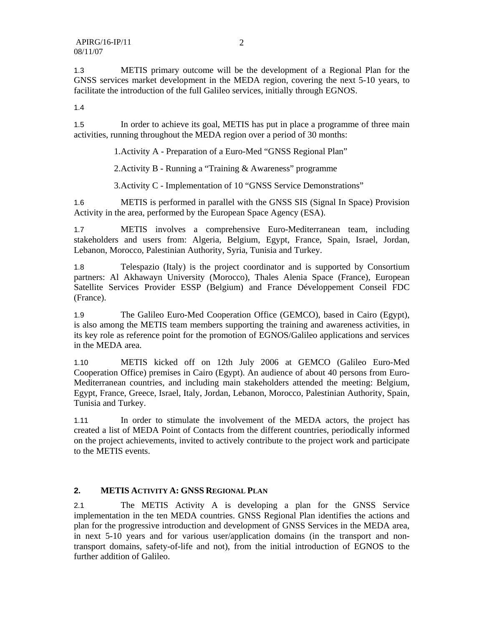1.3 METIS primary outcome will be the development of a Regional Plan for the GNSS services market development in the MEDA region, covering the next 5-10 years, to facilitate the introduction of the full Galileo services, initially through EGNOS.

1.4

1.5 In order to achieve its goal, METIS has put in place a programme of three main activities, running throughout the MEDA region over a period of 30 months:

1.Activity A - Preparation of a Euro-Med "GNSS Regional Plan"

2.Activity B - Running a "Training & Awareness" programme

3.Activity C - Implementation of 10 "GNSS Service Demonstrations"

1.6 METIS is performed in parallel with the GNSS SIS (Signal In Space) Provision Activity in the area, performed by the European Space Agency (ESA).

1.7 METIS involves a comprehensive Euro-Mediterranean team, including stakeholders and users from: Algeria, Belgium, Egypt, France, Spain, Israel, Jordan, Lebanon, Morocco, Palestinian Authority, Syria, Tunisia and Turkey.

1.8 Telespazio (Italy) is the project coordinator and is supported by Consortium partners: Al Akhawayn University (Morocco), Thales Alenia Space (France), European Satellite Services Provider ESSP (Belgium) and France Développement Conseil FDC (France).

1.9 The Galileo Euro-Med Cooperation Office (GEMCO), based in Cairo (Egypt), is also among the METIS team members supporting the training and awareness activities, in its key role as reference point for the promotion of EGNOS/Galileo applications and services in the MEDA area.

1.10 METIS kicked off on 12th July 2006 at GEMCO (Galileo Euro-Med Cooperation Office) premises in Cairo (Egypt). An audience of about 40 persons from Euro-Mediterranean countries, and including main stakeholders attended the meeting: Belgium, Egypt, France, Greece, Israel, Italy, Jordan, Lebanon, Morocco, Palestinian Authority, Spain, Tunisia and Turkey.

1.11 In order to stimulate the involvement of the MEDA actors, the project has created a list of MEDA Point of Contacts from the different countries, periodically informed on the project achievements, invited to actively contribute to the project work and participate to the METIS events.

## **2. METIS ACTIVITY A: GNSS REGIONAL PLAN**

2.1 The METIS Activity A is developing a plan for the GNSS Service implementation in the ten MEDA countries. GNSS Regional Plan identifies the actions and plan for the progressive introduction and development of GNSS Services in the MEDA area, in next 5-10 years and for various user/application domains (in the transport and nontransport domains, safety-of-life and not), from the initial introduction of EGNOS to the further addition of Galileo.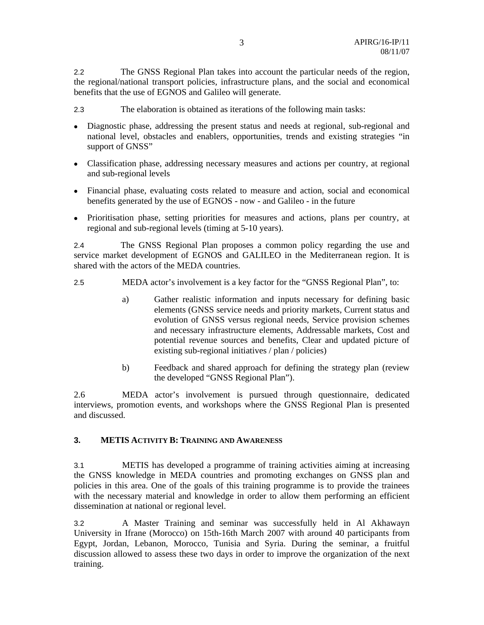2.2 The GNSS Regional Plan takes into account the particular needs of the region, the regional/national transport policies, infrastructure plans, and the social and economical benefits that the use of EGNOS and Galileo will generate.

2.3 The elaboration is obtained as iterations of the following main tasks:

- Diagnostic phase, addressing the present status and needs at regional, sub-regional and national level, obstacles and enablers, opportunities, trends and existing strategies "in support of GNSS"
- Classification phase, addressing necessary measures and actions per country, at regional and sub-regional levels
- Financial phase, evaluating costs related to measure and action, social and economical benefits generated by the use of EGNOS - now - and Galileo - in the future
- Prioritisation phase, setting priorities for measures and actions, plans per country, at regional and sub-regional levels (timing at 5-10 years).

2.4 The GNSS Regional Plan proposes a common policy regarding the use and service market development of EGNOS and GALILEO in the Mediterranean region. It is shared with the actors of the MEDA countries.

- 2.5 MEDA actor's involvement is a key factor for the "GNSS Regional Plan", to:
	- a) Gather realistic information and inputs necessary for defining basic elements (GNSS service needs and priority markets, Current status and evolution of GNSS versus regional needs, Service provision schemes and necessary infrastructure elements, Addressable markets, Cost and potential revenue sources and benefits, Clear and updated picture of existing sub-regional initiatives / plan / policies)
	- b) Feedback and shared approach for defining the strategy plan (review the developed "GNSS Regional Plan").

2.6 MEDA actor's involvement is pursued through questionnaire, dedicated interviews, promotion events, and workshops where the GNSS Regional Plan is presented and discussed.

## **3. METIS ACTIVITY B: TRAINING AND AWARENESS**

3.1 METIS has developed a programme of training activities aiming at increasing the GNSS knowledge in MEDA countries and promoting exchanges on GNSS plan and policies in this area. One of the goals of this training programme is to provide the trainees with the necessary material and knowledge in order to allow them performing an efficient dissemination at national or regional level.

3.2 A Master Training and seminar was successfully held in Al Akhawayn University in Ifrane (Morocco) on 15th-16th March 2007 with around 40 participants from Egypt, Jordan, Lebanon, Morocco, Tunisia and Syria. During the seminar, a fruitful discussion allowed to assess these two days in order to improve the organization of the next training.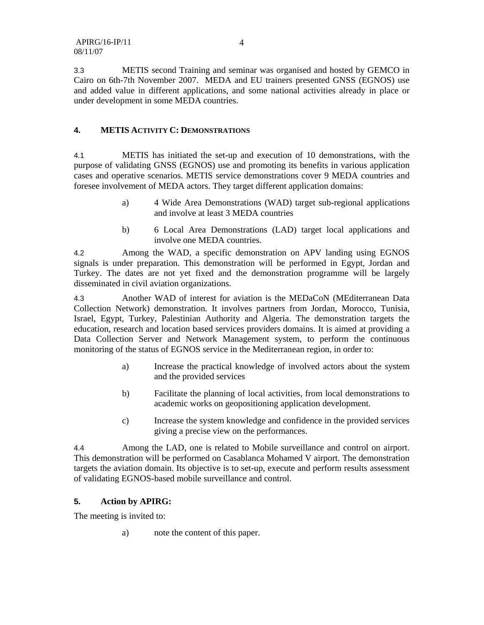3.3 METIS second Training and seminar was organised and hosted by GEMCO in Cairo on 6th-7th November 2007. MEDA and EU trainers presented GNSS (EGNOS) use and added value in different applications, and some national activities already in place or under development in some MEDA countries.

## **4. METIS ACTIVITY C: DEMONSTRATIONS**

4.1 METIS has initiated the set-up and execution of 10 demonstrations, with the purpose of validating GNSS (EGNOS) use and promoting its benefits in various application cases and operative scenarios. METIS service demonstrations cover 9 MEDA countries and foresee involvement of MEDA actors. They target different application domains:

- a) 4 Wide Area Demonstrations (WAD) target sub-regional applications and involve at least 3 MEDA countries
- b) 6 Local Area Demonstrations (LAD) target local applications and involve one MEDA countries.

4.2 Among the WAD, a specific demonstration on APV landing using EGNOS signals is under preparation. This demonstration will be performed in Egypt, Jordan and Turkey. The dates are not yet fixed and the demonstration programme will be largely disseminated in civil aviation organizations.

4.3 Another WAD of interest for aviation is the MEDaCoN (MEditerranean Data Collection Network) demonstration. It involves partners from Jordan, Morocco, Tunisia, Israel, Egypt, Turkey, Palestinian Authority and Algeria. The demonstration targets the education, research and location based services providers domains. It is aimed at providing a Data Collection Server and Network Management system, to perform the continuous monitoring of the status of EGNOS service in the Mediterranean region, in order to:

- a) Increase the practical knowledge of involved actors about the system and the provided services
- b) Facilitate the planning of local activities, from local demonstrations to academic works on geopositioning application development.
- c) Increase the system knowledge and confidence in the provided services giving a precise view on the performances.

4.4 Among the LAD, one is related to Mobile surveillance and control on airport. This demonstration will be performed on Casablanca Mohamed V airport. The demonstration targets the aviation domain. Its objective is to set-up, execute and perform results assessment of validating EGNOS-based mobile surveillance and control.

## **5. Action by APIRG:**

The meeting is invited to:

a) note the content of this paper.